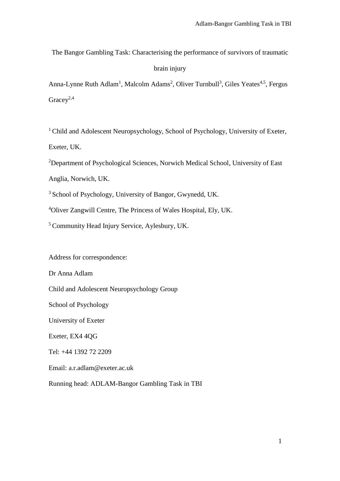The Bangor Gambling Task: Characterising the performance of survivors of traumatic

## brain injury

Anna-Lynne Ruth Adlam<sup>1</sup>, Malcolm Adams<sup>2</sup>, Oliver Turnbull<sup>3</sup>, Giles Yeates<sup>4,5</sup>, Fergus Grace $v^{2,4}$ 

<sup>1</sup> Child and Adolescent Neuropsychology, School of Psychology, University of Exeter, Exeter, UK.

<sup>2</sup>Department of Psychological Sciences, Norwich Medical School, University of East

Anglia, Norwich, UK.

<sup>3</sup> School of Psychology, University of Bangor, Gwynedd, UK.

<sup>4</sup>Oliver Zangwill Centre, The Princess of Wales Hospital, Ely, UK.

<sup>5</sup>Community Head Injury Service, Aylesbury, UK.

Address for correspondence:

Dr Anna Adlam

Child and Adolescent Neuropsychology Group

School of Psychology

University of Exeter

Exeter, EX4 4QG

Tel: +44 1392 72 2209

Email: a.r.adlam@exeter.ac.uk

Running head: ADLAM-Bangor Gambling Task in TBI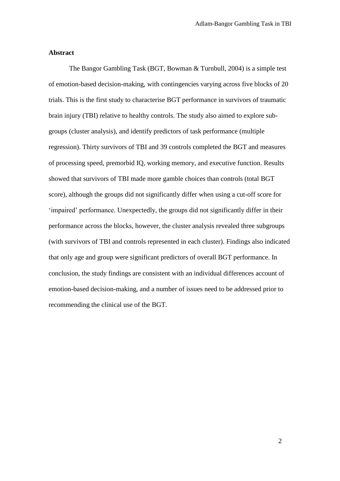#### **Abstract**

The Bangor Gambling Task (BGT, Bowman & Turnbull, 2004) is a simple test of emotion-based decision-making, with contingencies varying across five blocks of 20 trials. This is the first study to characterise BGT performance in survivors of traumatic brain injury (TBI) relative to healthy controls. The study also aimed to explore subgroups (cluster analysis), and identify predictors of task performance (multiple regression). Thirty survivors of TBI and 39 controls completed the BGT and measures of processing speed, premorbid IQ, working memory, and executive function. Results showed that survivors of TBI made more gamble choices than controls (total BGT score), although the groups did not significantly differ when using a cut-off score for 'impaired' performance. Unexpectedly, the groups did not significantly differ in their performance across the blocks, however, the cluster analysis revealed three subgroups (with survivors of TBI and controls represented in each cluster). Findings also indicated that only age and group were significant predictors of overall BGT performance. In conclusion, the study findings are consistent with an individual differences account of emotion-based decision-making, and a number of issues need to be addressed prior to recommending the clinical use of the BGT.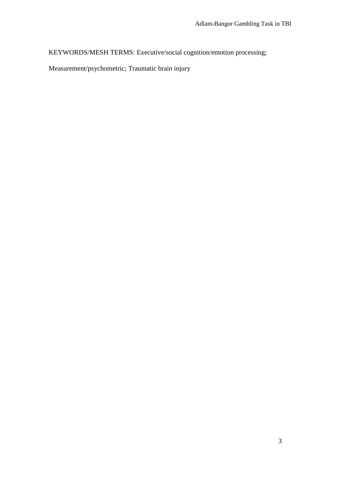KEYWORDS/MESH TERMS: Executive/social cognition/emotion processing;

Measurement/psychometric; Traumatic brain injury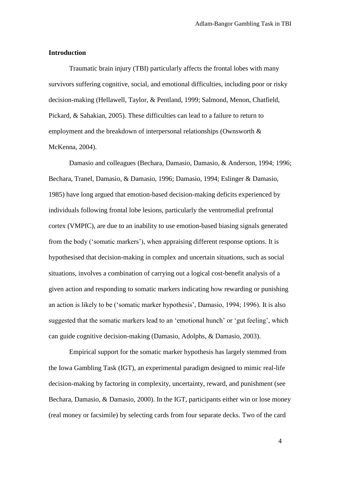#### **Introduction**

Traumatic brain injury (TBI) particularly affects the frontal lobes with many survivors suffering cognitive, social, and emotional difficulties, including poor or risky decision-making (Hellawell, Taylor, & Pentland, 1999; Salmond, Menon, Chatfield, Pickard, & Sahakian, 2005). These difficulties can lead to a failure to return to employment and the breakdown of interpersonal relationships (Ownsworth & McKenna, 2004).

Damasio and colleagues (Bechara, Damasio, Damasio, & Anderson, 1994; 1996; Bechara, Tranel, Damasio, & Damasio, 1996; Damasio, 1994; Eslinger & Damasio, 1985) have long argued that emotion-based decision-making deficits experienced by individuals following frontal lobe lesions, particularly the ventromedial prefrontal cortex (VMPfC), are due to an inability to use emotion-based biasing signals generated from the body ('somatic markers'), when appraising different response options. It is hypothesised that decision-making in complex and uncertain situations, such as social situations, involves a combination of carrying out a logical cost-benefit analysis of a given action and responding to somatic markers indicating how rewarding or punishing an action is likely to be ('somatic marker hypothesis', Damasio, 1994; 1996). It is also suggested that the somatic markers lead to an 'emotional hunch' or 'gut feeling', which can guide cognitive decision-making (Damasio, Adolphs, & Damasio, 2003).

Empirical support for the somatic marker hypothesis has largely stemmed from the Iowa Gambling Task (IGT), an experimental paradigm designed to mimic real-life decision-making by factoring in complexity, uncertainty, reward, and punishment (see Bechara, Damasio, & Damasio, 2000). In the IGT, participants either win or lose money (real money or facsimile) by selecting cards from four separate decks. Two of the card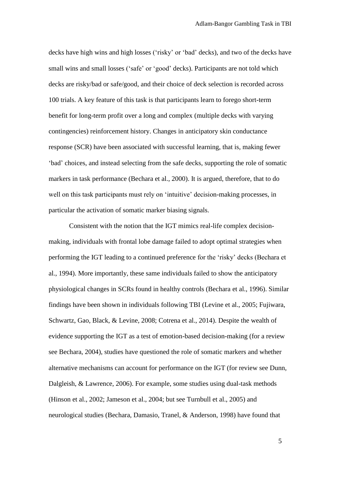decks have high wins and high losses ('risky' or 'bad' decks), and two of the decks have small wins and small losses ('safe' or 'good' decks). Participants are not told which decks are risky/bad or safe/good, and their choice of deck selection is recorded across 100 trials. A key feature of this task is that participants learn to forego short-term benefit for long-term profit over a long and complex (multiple decks with varying contingencies) reinforcement history. Changes in anticipatory skin conductance response (SCR) have been associated with successful learning, that is, making fewer 'bad' choices, and instead selecting from the safe decks, supporting the role of somatic markers in task performance (Bechara et al., 2000). It is argued, therefore, that to do well on this task participants must rely on 'intuitive' decision-making processes, in particular the activation of somatic marker biasing signals.

Consistent with the notion that the IGT mimics real-life complex decisionmaking, individuals with frontal lobe damage failed to adopt optimal strategies when performing the IGT leading to a continued preference for the 'risky' decks (Bechara et al., 1994). More importantly, these same individuals failed to show the anticipatory physiological changes in SCRs found in healthy controls (Bechara et al., 1996). Similar findings have been shown in individuals following TBI (Levine et al., 2005; Fujiwara, Schwartz, Gao, Black, & Levine, 2008; Cotrena et al., 2014). Despite the wealth of evidence supporting the IGT as a test of emotion-based decision-making (for a review see Bechara, 2004), studies have questioned the role of somatic markers and whether alternative mechanisms can account for performance on the IGT (for review see Dunn, Dalgleish, & Lawrence, 2006). For example, some studies using dual-task methods (Hinson et al., 2002; Jameson et al., 2004; but see Turnbull et al., 2005) and neurological studies (Bechara, Damasio, Tranel, & Anderson, 1998) have found that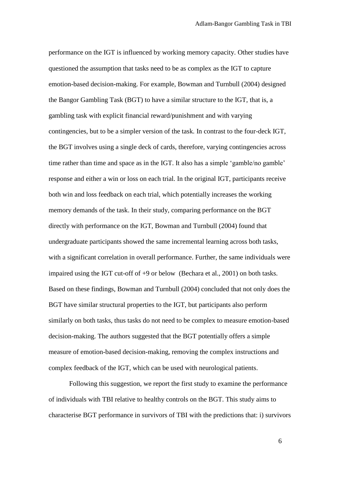performance on the IGT is influenced by working memory capacity. Other studies have questioned the assumption that tasks need to be as complex as the IGT to capture emotion-based decision-making. For example, Bowman and Turnbull (2004) designed the Bangor Gambling Task (BGT) to have a similar structure to the IGT, that is, a gambling task with explicit financial reward/punishment and with varying contingencies, but to be a simpler version of the task. In contrast to the four-deck IGT, the BGT involves using a single deck of cards, therefore, varying contingencies across time rather than time and space as in the IGT. It also has a simple 'gamble/no gamble' response and either a win or loss on each trial. In the original IGT, participants receive both win and loss feedback on each trial, which potentially increases the working memory demands of the task. In their study, comparing performance on the BGT directly with performance on the IGT, Bowman and Turnbull (2004) found that undergraduate participants showed the same incremental learning across both tasks, with a significant correlation in overall performance. Further, the same individuals were impaired using the IGT cut-off of +9 or below (Bechara et al., 2001) on both tasks. Based on these findings, Bowman and Turnbull (2004) concluded that not only does the BGT have similar structural properties to the IGT, but participants also perform similarly on both tasks, thus tasks do not need to be complex to measure emotion-based decision-making. The authors suggested that the BGT potentially offers a simple measure of emotion-based decision-making, removing the complex instructions and complex feedback of the IGT, which can be used with neurological patients.

Following this suggestion, we report the first study to examine the performance of individuals with TBI relative to healthy controls on the BGT. This study aims to characterise BGT performance in survivors of TBI with the predictions that: i) survivors

 $\sim$  6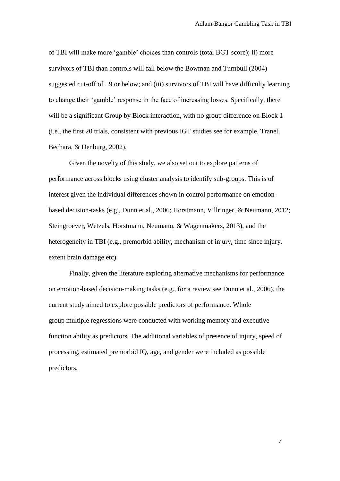of TBI will make more 'gamble' choices than controls (total BGT score); ii) more survivors of TBI than controls will fall below the Bowman and Turnbull (2004) suggested cut-off of +9 or below; and (iii) survivors of TBI will have difficulty learning to change their 'gamble' response in the face of increasing losses. Specifically, there will be a significant Group by Block interaction, with no group difference on Block 1 (i.e., the first 20 trials, consistent with previous IGT studies see for example, Tranel, Bechara, & Denburg, 2002).

Given the novelty of this study, we also set out to explore patterns of performance across blocks using cluster analysis to identify sub-groups. This is of interest given the individual differences shown in control performance on emotionbased decision-tasks (e.g., Dunn et al., 2006; Horstmann, Villringer, & Neumann, 2012; Steingroever, Wetzels, Horstmann, Neumann, & Wagenmakers, 2013), and the heterogeneity in TBI (e.g., premorbid ability, mechanism of injury, time since injury, extent brain damage etc).

Finally, given the literature exploring alternative mechanisms for performance on emotion-based decision-making tasks (e.g., for a review see Dunn et al., 2006), the current study aimed to explore possible predictors of performance. Whole group multiple regressions were conducted with working memory and executive function ability as predictors. The additional variables of presence of injury, speed of processing, estimated premorbid IQ, age, and gender were included as possible predictors.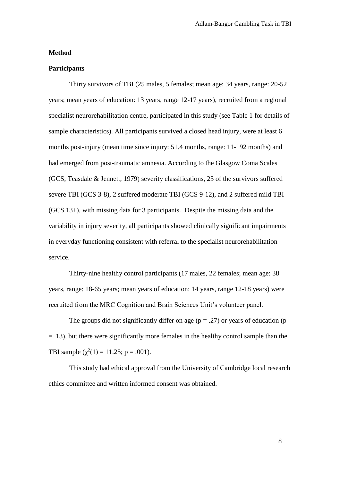#### **Method**

## **Participants**

Thirty survivors of TBI (25 males, 5 females; mean age: 34 years, range: 20-52 years; mean years of education: 13 years, range 12-17 years), recruited from a regional specialist neurorehabilitation centre, participated in this study (see Table 1 for details of sample characteristics). All participants survived a closed head injury, were at least 6 months post-injury (mean time since injury: 51.4 months, range: 11-192 months) and had emerged from post-traumatic amnesia. According to the Glasgow Coma Scales (GCS, Teasdale & Jennett, 1979) severity classifications, 23 of the survivors suffered severe TBI (GCS 3-8), 2 suffered moderate TBI (GCS 9-12), and 2 suffered mild TBI (GCS 13+), with missing data for 3 participants. Despite the missing data and the variability in injury severity, all participants showed clinically significant impairments in everyday functioning consistent with referral to the specialist neurorehabilitation service.

Thirty-nine healthy control participants (17 males, 22 females; mean age: 38 years, range: 18-65 years; mean years of education: 14 years, range 12-18 years) were recruited from the MRC Cognition and Brain Sciences Unit's volunteer panel.

The groups did not significantly differ on age  $(p = .27)$  or years of education (p = .13), but there were significantly more females in the healthy control sample than the TBI sample  $(\chi^2(1) = 11.25; p = .001)$ .

This study had ethical approval from the University of Cambridge local research ethics committee and written informed consent was obtained.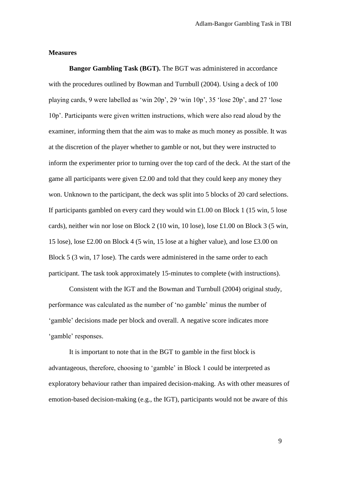#### **Measures**

**Bangor Gambling Task (BGT).** The BGT was administered in accordance with the procedures outlined by Bowman and Turnbull (2004). Using a deck of 100 playing cards, 9 were labelled as 'win 20p', 29 'win 10p', 35 'lose 20p', and 27 'lose 10p'. Participants were given written instructions, which were also read aloud by the examiner, informing them that the aim was to make as much money as possible. It was at the discretion of the player whether to gamble or not, but they were instructed to inform the experimenter prior to turning over the top card of the deck. At the start of the game all participants were given £2.00 and told that they could keep any money they won. Unknown to the participant, the deck was split into 5 blocks of 20 card selections. If participants gambled on every card they would win £1.00 on Block 1 (15 win, 5 lose cards), neither win nor lose on Block 2 (10 win, 10 lose), lose £1.00 on Block 3 (5 win, 15 lose), lose £2.00 on Block 4 (5 win, 15 lose at a higher value), and lose £3.00 on Block 5 (3 win, 17 lose). The cards were administered in the same order to each participant. The task took approximately 15-minutes to complete (with instructions).

Consistent with the IGT and the Bowman and Turnbull (2004) original study, performance was calculated as the number of 'no gamble' minus the number of 'gamble' decisions made per block and overall. A negative score indicates more 'gamble' responses.

It is important to note that in the BGT to gamble in the first block is advantageous, therefore, choosing to 'gamble' in Block 1 could be interpreted as exploratory behaviour rather than impaired decision-making. As with other measures of emotion-based decision-making (e.g., the IGT), participants would not be aware of this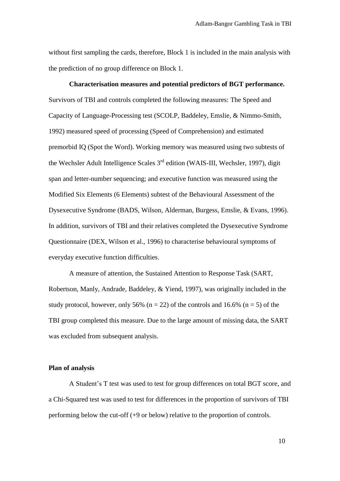without first sampling the cards, therefore, Block 1 is included in the main analysis with the prediction of no group difference on Block 1.

**Characterisation measures and potential predictors of BGT performance.** Survivors of TBI and controls completed the following measures: The Speed and Capacity of Language-Processing test (SCOLP, Baddeley, Emslie, & Nimmo-Smith, 1992) measured speed of processing (Speed of Comprehension) and estimated premorbid IQ (Spot the Word). Working memory was measured using two subtests of the Wechsler Adult Intelligence Scales 3rd edition (WAIS-III, Wechsler, 1997), digit span and letter-number sequencing; and executive function was measured using the Modified Six Elements (6 Elements) subtest of the Behavioural Assessment of the Dysexecutive Syndrome (BADS, Wilson, Alderman, Burgess, Emslie, & Evans, 1996). In addition, survivors of TBI and their relatives completed the Dysexecutive Syndrome Questionnaire (DEX, Wilson et al., 1996) to characterise behavioural symptoms of everyday executive function difficulties.

A measure of attention, the Sustained Attention to Response Task (SART, Robertson, Manly, Andrade, Baddeley, & Yiend, 1997), was originally included in the study protocol, however, only 56% ( $n = 22$ ) of the controls and 16.6% ( $n = 5$ ) of the TBI group completed this measure. Due to the large amount of missing data, the SART was excluded from subsequent analysis.

#### **Plan of analysis**

A Student's T test was used to test for group differences on total BGT score, and a Chi-Squared test was used to test for differences in the proportion of survivors of TBI performing below the cut-off (+9 or below) relative to the proportion of controls.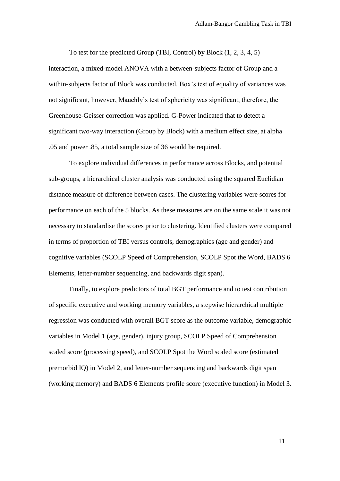To test for the predicted Group (TBI, Control) by Block (1, 2, 3, 4, 5) interaction, a mixed-model ANOVA with a between-subjects factor of Group and a within-subjects factor of Block was conducted. Box's test of equality of variances was not significant, however, Mauchly's test of sphericity was significant, therefore, the Greenhouse-Geisser correction was applied. G-Power indicated that to detect a significant two-way interaction (Group by Block) with a medium effect size, at alpha .05 and power .85, a total sample size of 36 would be required.

To explore individual differences in performance across Blocks, and potential sub-groups, a hierarchical cluster analysis was conducted using the squared Euclidian distance measure of difference between cases. The clustering variables were scores for performance on each of the 5 blocks. As these measures are on the same scale it was not necessary to standardise the scores prior to clustering. Identified clusters were compared in terms of proportion of TBI versus controls, demographics (age and gender) and cognitive variables (SCOLP Speed of Comprehension, SCOLP Spot the Word, BADS 6 Elements, letter-number sequencing, and backwards digit span).

Finally, to explore predictors of total BGT performance and to test contribution of specific executive and working memory variables, a stepwise hierarchical multiple regression was conducted with overall BGT score as the outcome variable, demographic variables in Model 1 (age, gender), injury group, SCOLP Speed of Comprehension scaled score (processing speed), and SCOLP Spot the Word scaled score (estimated premorbid IQ) in Model 2, and letter-number sequencing and backwards digit span (working memory) and BADS 6 Elements profile score (executive function) in Model 3.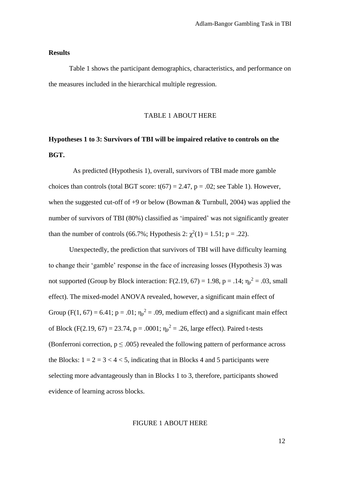#### **Results**

Table 1 shows the participant demographics, characteristics, and performance on the measures included in the hierarchical multiple regression.

#### TABLE 1 ABOUT HERE

# **Hypotheses 1 to 3: Survivors of TBI will be impaired relative to controls on the BGT.**

As predicted (Hypothesis 1), overall, survivors of TBI made more gamble choices than controls (total BGT score:  $t(67) = 2.47$ ,  $p = .02$ ; see Table 1). However, when the suggested cut-off of  $+9$  or below (Bowman & Turnbull, 2004) was applied the number of survivors of TBI (80%) classified as 'impaired' was not significantly greater than the number of controls (66.7%; Hypothesis 2:  $\chi^2(1) = 1.51$ ; p = .22).

Unexpectedly, the prediction that survivors of TBI will have difficulty learning to change their 'gamble' response in the face of increasing losses (Hypothesis 3) was not supported (Group by Block interaction: F(2.19, 67) = 1.98, p = .14;  $\eta_p^2$  = .03, small effect). The mixed-model ANOVA revealed, however, a significant main effect of Group (F(1, 67) = 6.41;  $p = .01$ ;  $\eta_p^2 = .09$ , medium effect) and a significant main effect of Block (F(2.19, 67) = 23.74, p = .0001;  $\eta_p^2$  = .26, large effect). Paired t-tests (Bonferroni correction,  $p \leq 0.005$ ) revealed the following pattern of performance across the Blocks:  $1 = 2 = 3 < 4 < 5$ , indicating that in Blocks 4 and 5 participants were selecting more advantageously than in Blocks 1 to 3, therefore, participants showed evidence of learning across blocks.

#### FIGURE 1 ABOUT HERE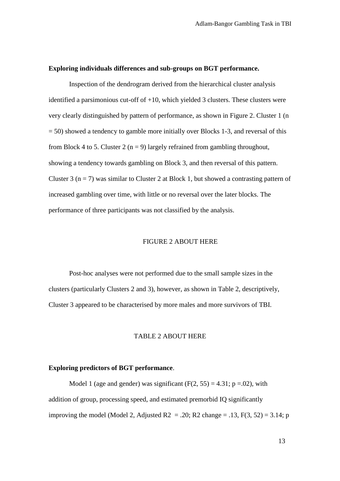#### **Exploring individuals differences and sub-groups on BGT performance.**

Inspection of the dendrogram derived from the hierarchical cluster analysis identified a parsimonious cut-off of +10, which yielded 3 clusters. These clusters were very clearly distinguished by pattern of performance, as shown in Figure 2. Cluster 1 (n  $= 50$ ) showed a tendency to gamble more initially over Blocks 1-3, and reversal of this from Block 4 to 5. Cluster 2 ( $n = 9$ ) largely refrained from gambling throughout, showing a tendency towards gambling on Block 3, and then reversal of this pattern. Cluster 3 ( $n = 7$ ) was similar to Cluster 2 at Block 1, but showed a contrasting pattern of increased gambling over time, with little or no reversal over the later blocks. The performance of three participants was not classified by the analysis.

## FIGURE 2 ABOUT HERE

Post-hoc analyses were not performed due to the small sample sizes in the clusters (particularly Clusters 2 and 3), however, as shown in Table 2, descriptively, Cluster 3 appeared to be characterised by more males and more survivors of TBI.

#### TABLE 2 ABOUT HERE

#### **Exploring predictors of BGT performance**.

Model 1 (age and gender) was significant  $(F(2, 55) = 4.31; p = .02)$ , with addition of group, processing speed, and estimated premorbid IQ significantly improving the model (Model 2, Adjusted R2 = .20; R2 change = .13,  $F(3, 52) = 3.14$ ; p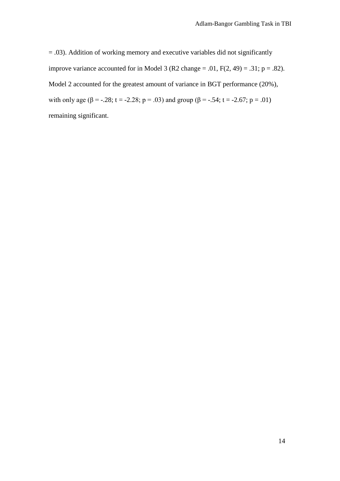= .03). Addition of working memory and executive variables did not significantly improve variance accounted for in Model 3 (R2 change = .01,  $F(2, 49) = .31$ ;  $p = .82$ ). Model 2 accounted for the greatest amount of variance in BGT performance (20%), with only age ( $\beta$  = -.28; t = -2.28; p = .03) and group ( $\beta$  = -.54; t = -2.67; p = .01) remaining significant.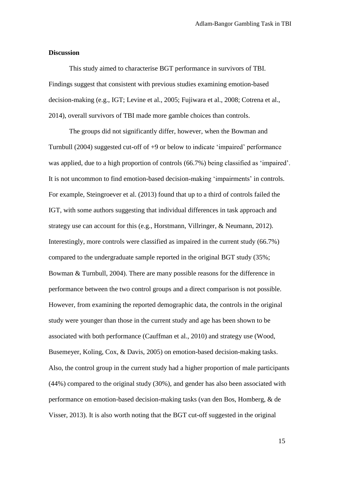#### **Discussion**

This study aimed to characterise BGT performance in survivors of TBI. Findings suggest that consistent with previous studies examining emotion-based decision-making (e.g., IGT; Levine et al., 2005; Fujiwara et al., 2008; Cotrena et al., 2014), overall survivors of TBI made more gamble choices than controls.

The groups did not significantly differ, however, when the Bowman and Turnbull (2004) suggested cut-off of +9 or below to indicate 'impaired' performance was applied, due to a high proportion of controls (66.7%) being classified as 'impaired'. It is not uncommon to find emotion-based decision-making 'impairments' in controls. For example, Steingroever et al. (2013) found that up to a third of controls failed the IGT, with some authors suggesting that individual differences in task approach and strategy use can account for this (e.g., Horstmann, Villringer, & Neumann, 2012). Interestingly, more controls were classified as impaired in the current study (66.7%) compared to the undergraduate sample reported in the original BGT study (35%; Bowman & Turnbull, 2004). There are many possible reasons for the difference in performance between the two control groups and a direct comparison is not possible. However, from examining the reported demographic data, the controls in the original study were younger than those in the current study and age has been shown to be associated with both performance (Cauffman et al., 2010) and strategy use (Wood, Busemeyer, Koling, Cox, & Davis, 2005) on emotion-based decision-making tasks. Also, the control group in the current study had a higher proportion of male participants (44%) compared to the original study (30%), and gender has also been associated with performance on emotion-based decision-making tasks (van den Bos, Homberg, & de Visser, 2013). It is also worth noting that the BGT cut-off suggested in the original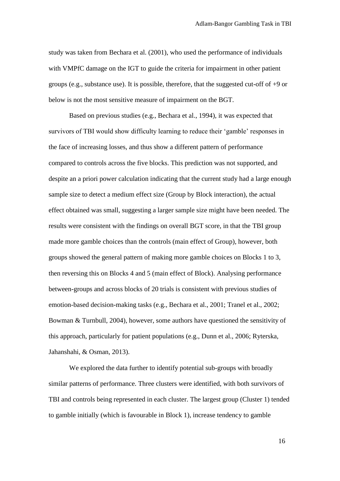study was taken from Bechara et al. (2001), who used the performance of individuals with VMPfC damage on the IGT to guide the criteria for impairment in other patient groups (e.g., substance use). It is possible, therefore, that the suggested cut-off of +9 or below is not the most sensitive measure of impairment on the BGT.

Based on previous studies (e.g., Bechara et al., 1994), it was expected that survivors of TBI would show difficulty learning to reduce their 'gamble' responses in the face of increasing losses, and thus show a different pattern of performance compared to controls across the five blocks. This prediction was not supported, and despite an a priori power calculation indicating that the current study had a large enough sample size to detect a medium effect size (Group by Block interaction), the actual effect obtained was small, suggesting a larger sample size might have been needed. The results were consistent with the findings on overall BGT score, in that the TBI group made more gamble choices than the controls (main effect of Group), however, both groups showed the general pattern of making more gamble choices on Blocks 1 to 3, then reversing this on Blocks 4 and 5 (main effect of Block). Analysing performance between-groups and across blocks of 20 trials is consistent with previous studies of emotion-based decision-making tasks (e.g., Bechara et al., 2001; Tranel et al., 2002; Bowman & Turnbull, 2004), however, some authors have questioned the sensitivity of this approach, particularly for patient populations (e.g., Dunn et al., 2006; Ryterska, Jahanshahi, & Osman, 2013).

We explored the data further to identify potential sub-groups with broadly similar patterns of performance. Three clusters were identified, with both survivors of TBI and controls being represented in each cluster. The largest group (Cluster 1) tended to gamble initially (which is favourable in Block 1), increase tendency to gamble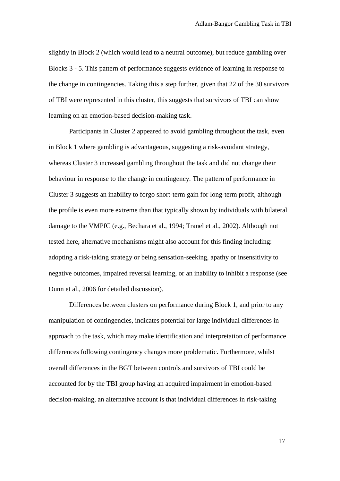slightly in Block 2 (which would lead to a neutral outcome), but reduce gambling over Blocks 3 - 5. This pattern of performance suggests evidence of learning in response to the change in contingencies. Taking this a step further, given that 22 of the 30 survivors of TBI were represented in this cluster, this suggests that survivors of TBI can show learning on an emotion-based decision-making task.

Participants in Cluster 2 appeared to avoid gambling throughout the task, even in Block 1 where gambling is advantageous, suggesting a risk-avoidant strategy, whereas Cluster 3 increased gambling throughout the task and did not change their behaviour in response to the change in contingency. The pattern of performance in Cluster 3 suggests an inability to forgo short-term gain for long-term profit, although the profile is even more extreme than that typically shown by individuals with bilateral damage to the VMPfC (e.g., Bechara et al., 1994; Tranel et al., 2002). Although not tested here, alternative mechanisms might also account for this finding including: adopting a risk-taking strategy or being sensation-seeking, apathy or insensitivity to negative outcomes, impaired reversal learning, or an inability to inhibit a response (see Dunn et al., 2006 for detailed discussion).

Differences between clusters on performance during Block 1, and prior to any manipulation of contingencies, indicates potential for large individual differences in approach to the task, which may make identification and interpretation of performance differences following contingency changes more problematic. Furthermore, whilst overall differences in the BGT between controls and survivors of TBI could be accounted for by the TBI group having an acquired impairment in emotion-based decision-making, an alternative account is that individual differences in risk-taking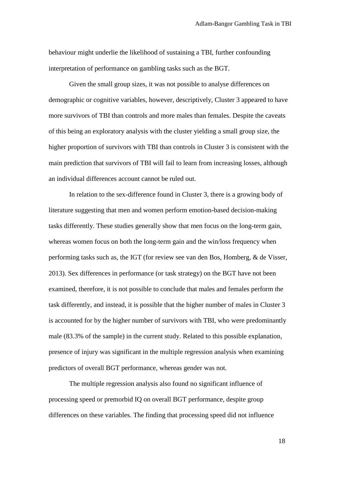behaviour might underlie the likelihood of sustaining a TBI, further confounding interpretation of performance on gambling tasks such as the BGT.

Given the small group sizes, it was not possible to analyse differences on demographic or cognitive variables, however, descriptively, Cluster 3 appeared to have more survivors of TBI than controls and more males than females. Despite the caveats of this being an exploratory analysis with the cluster yielding a small group size, the higher proportion of survivors with TBI than controls in Cluster 3 is consistent with the main prediction that survivors of TBI will fail to learn from increasing losses, although an individual differences account cannot be ruled out.

In relation to the sex-difference found in Cluster 3, there is a growing body of literature suggesting that men and women perform emotion-based decision-making tasks differently. These studies generally show that men focus on the long-term gain, whereas women focus on both the long-term gain and the win/loss frequency when performing tasks such as, the IGT (for review see van den Bos, Homberg, & de Visser, 2013). Sex differences in performance (or task strategy) on the BGT have not been examined, therefore, it is not possible to conclude that males and females perform the task differently, and instead, it is possible that the higher number of males in Cluster 3 is accounted for by the higher number of survivors with TBI, who were predominantly male (83.3% of the sample) in the current study. Related to this possible explanation, presence of injury was significant in the multiple regression analysis when examining predictors of overall BGT performance, whereas gender was not.

The multiple regression analysis also found no significant influence of processing speed or premorbid IQ on overall BGT performance, despite group differences on these variables. The finding that processing speed did not influence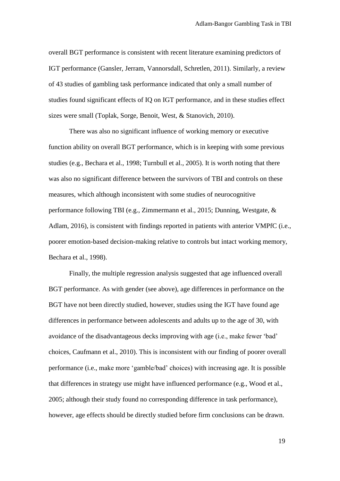overall BGT performance is consistent with recent literature examining predictors of IGT performance (Gansler, Jerram, Vannorsdall, Schretlen, 2011). Similarly, a review of 43 studies of gambling task performance indicated that only a small number of studies found significant effects of IQ on IGT performance, and in these studies effect sizes were small (Toplak, Sorge, Benoit, West, & Stanovich, 2010).

There was also no significant influence of working memory or executive function ability on overall BGT performance, which is in keeping with some previous studies (e.g., Bechara et al., 1998; Turnbull et al., 2005). It is worth noting that there was also no significant difference between the survivors of TBI and controls on these measures, which although inconsistent with some studies of neurocognitive performance following TBI (e.g., Zimmermann et al., 2015; Dunning, Westgate, & Adlam, 2016), is consistent with findings reported in patients with anterior VMPfC (i.e., poorer emotion-based decision-making relative to controls but intact working memory, Bechara et al., 1998).

Finally, the multiple regression analysis suggested that age influenced overall BGT performance. As with gender (see above), age differences in performance on the BGT have not been directly studied, however, studies using the IGT have found age differences in performance between adolescents and adults up to the age of 30, with avoidance of the disadvantageous decks improving with age (i.e., make fewer 'bad' choices, Caufmann et al., 2010). This is inconsistent with our finding of poorer overall performance (i.e., make more 'gamble/bad' choices) with increasing age. It is possible that differences in strategy use might have influenced performance (e.g., Wood et al., 2005; although their study found no corresponding difference in task performance), however, age effects should be directly studied before firm conclusions can be drawn.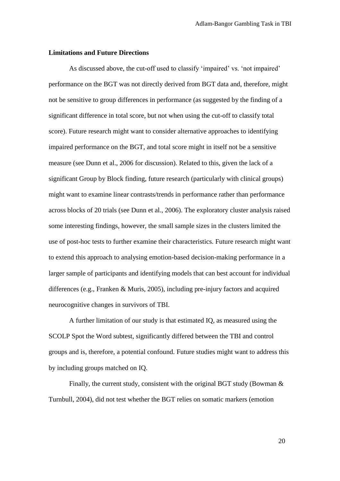#### **Limitations and Future Directions**

As discussed above, the cut-off used to classify 'impaired' vs. 'not impaired' performance on the BGT was not directly derived from BGT data and, therefore, might not be sensitive to group differences in performance (as suggested by the finding of a significant difference in total score, but not when using the cut-off to classify total score). Future research might want to consider alternative approaches to identifying impaired performance on the BGT, and total score might in itself not be a sensitive measure (see Dunn et al., 2006 for discussion). Related to this, given the lack of a significant Group by Block finding, future research (particularly with clinical groups) might want to examine linear contrasts/trends in performance rather than performance across blocks of 20 trials (see Dunn et al., 2006). The exploratory cluster analysis raised some interesting findings, however, the small sample sizes in the clusters limited the use of post-hoc tests to further examine their characteristics. Future research might want to extend this approach to analysing emotion-based decision-making performance in a larger sample of participants and identifying models that can best account for individual differences (e.g., Franken & Muris, 2005), including pre-injury factors and acquired neurocognitive changes in survivors of TBI.

A further limitation of our study is that estimated IQ, as measured using the SCOLP Spot the Word subtest, significantly differed between the TBI and control groups and is, therefore, a potential confound. Future studies might want to address this by including groups matched on IQ.

Finally, the current study, consistent with the original BGT study (Bowman & Turnbull, 2004), did not test whether the BGT relies on somatic markers (emotion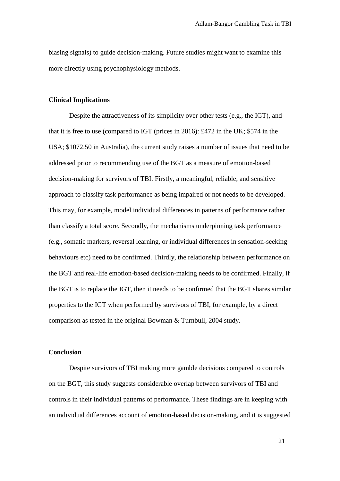biasing signals) to guide decision-making. Future studies might want to examine this more directly using psychophysiology methods.

## **Clinical Implications**

Despite the attractiveness of its simplicity over other tests (e.g., the IGT), and that it is free to use (compared to IGT (prices in 2016): £472 in the UK; \$574 in the USA; \$1072.50 in Australia), the current study raises a number of issues that need to be addressed prior to recommending use of the BGT as a measure of emotion-based decision-making for survivors of TBI. Firstly, a meaningful, reliable, and sensitive approach to classify task performance as being impaired or not needs to be developed. This may, for example, model individual differences in patterns of performance rather than classify a total score. Secondly, the mechanisms underpinning task performance (e.g., somatic markers, reversal learning, or individual differences in sensation-seeking behaviours etc) need to be confirmed. Thirdly, the relationship between performance on the BGT and real-life emotion-based decision-making needs to be confirmed. Finally, if the BGT is to replace the IGT, then it needs to be confirmed that the BGT shares similar properties to the IGT when performed by survivors of TBI, for example, by a direct comparison as tested in the original Bowman & Turnbull, 2004 study.

#### **Conclusion**

Despite survivors of TBI making more gamble decisions compared to controls on the BGT, this study suggests considerable overlap between survivors of TBI and controls in their individual patterns of performance. These findings are in keeping with an individual differences account of emotion-based decision-making, and it is suggested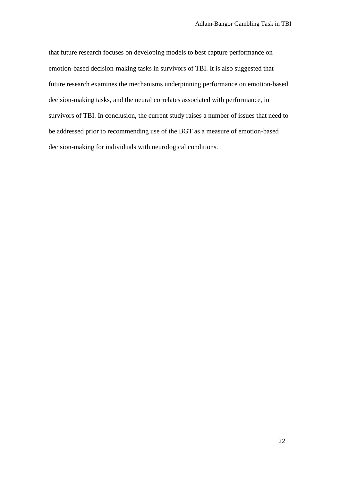that future research focuses on developing models to best capture performance on emotion-based decision-making tasks in survivors of TBI. It is also suggested that future research examines the mechanisms underpinning performance on emotion-based decision-making tasks, and the neural correlates associated with performance, in survivors of TBI. In conclusion, the current study raises a number of issues that need to be addressed prior to recommending use of the BGT as a measure of emotion-based decision-making for individuals with neurological conditions.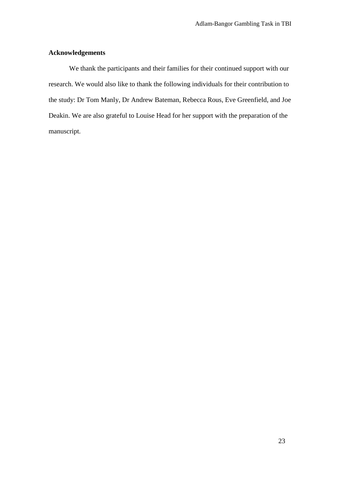## **Acknowledgements**

We thank the participants and their families for their continued support with our research. We would also like to thank the following individuals for their contribution to the study: Dr Tom Manly, Dr Andrew Bateman, Rebecca Rous, Eve Greenfield, and Joe Deakin. We are also grateful to Louise Head for her support with the preparation of the manuscript.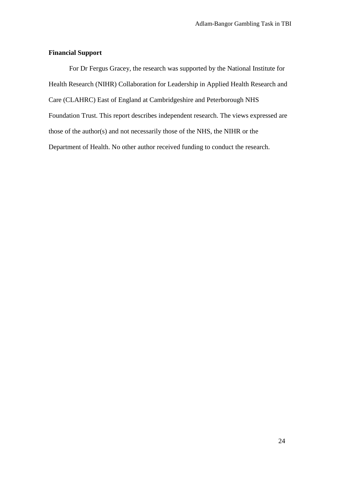## **Financial Support**

For Dr Fergus Gracey, the research was supported by the National Institute for Health Research (NIHR) Collaboration for Leadership in Applied Health Research and Care (CLAHRC) East of England at Cambridgeshire and Peterborough NHS Foundation Trust. This report describes independent research. The views expressed are those of the author(s) and not necessarily those of the NHS, the NIHR or the Department of Health. No other author received funding to conduct the research.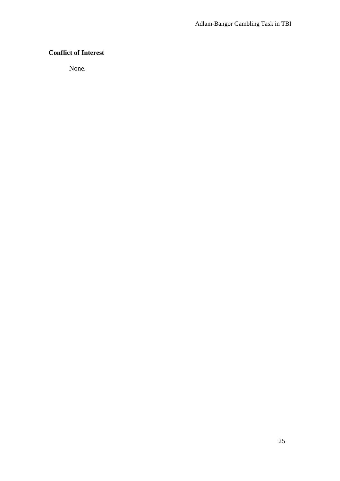## **Conflict of Interest**

None.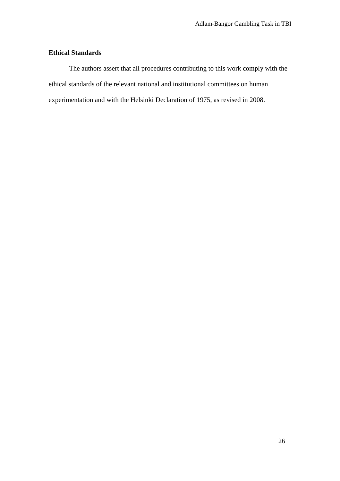## **Ethical Standards**

The authors assert that all procedures contributing to this work comply with the ethical standards of the relevant national and institutional committees on human experimentation and with the Helsinki Declaration of 1975, as revised in 2008.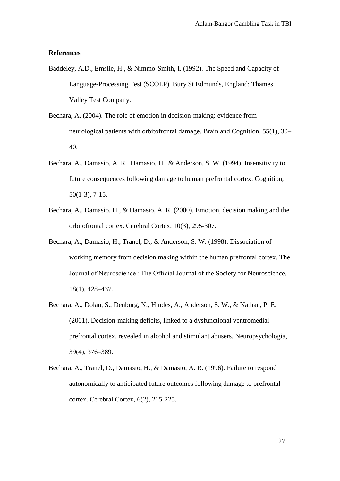#### **References**

- Baddeley, A.D., Emslie, H., & Nimmo-Smith, I. (1992). The Speed and Capacity of Language-Processing Test (SCOLP). Bury St Edmunds, England: Thames Valley Test Company.
- Bechara, A. (2004). The role of emotion in decision-making: evidence from neurological patients with orbitofrontal damage. Brain and Cognition, 55(1), 30– 40.
- Bechara, A., Damasio, A. R., Damasio, H., & Anderson, S. W. (1994). Insensitivity to future consequences following damage to human prefrontal cortex. Cognition, 50(1-3), 7-15.
- Bechara, A., Damasio, H., & Damasio, A. R. (2000). Emotion, decision making and the orbitofrontal cortex. Cerebral Cortex, 10(3), 295-307.
- Bechara, A., Damasio, H., Tranel, D., & Anderson, S. W. (1998). Dissociation of working memory from decision making within the human prefrontal cortex. The Journal of Neuroscience : The Official Journal of the Society for Neuroscience, 18(1), 428–437.
- Bechara, A., Dolan, S., Denburg, N., Hindes, A., Anderson, S. W., & Nathan, P. E. (2001). Decision-making deficits, linked to a dysfunctional ventromedial prefrontal cortex, revealed in alcohol and stimulant abusers. Neuropsychologia, 39(4), 376–389.
- Bechara, A., Tranel, D., Damasio, H., & Damasio, A. R. (1996). Failure to respond autonomically to anticipated future outcomes following damage to prefrontal cortex. Cerebral Cortex, 6(2), 215-225.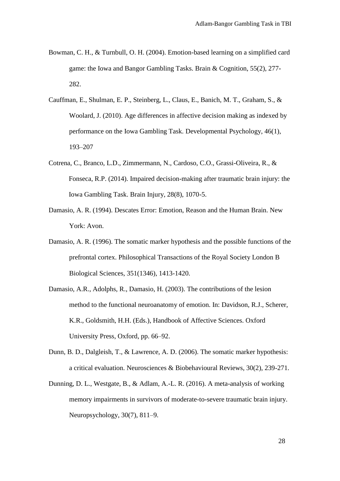- Bowman, C. H., & Turnbull, O. H. (2004). Emotion-based learning on a simplified card game: the Iowa and Bangor Gambling Tasks. Brain & Cognition, 55(2), 277- 282.
- Cauffman, E., Shulman, E. P., Steinberg, L., Claus, E., Banich, M. T., Graham, S., & Woolard, J. (2010). Age differences in affective decision making as indexed by performance on the Iowa Gambling Task. Developmental Psychology, 46(1), 193–207
- Cotrena, C., Branco, L.D., Zimmermann, N., Cardoso, C.O., Grassi-Oliveira, R., & Fonseca, R.P. (2014). Impaired decision-making after traumatic brain injury: the Iowa Gambling Task. Brain Injury, 28(8), 1070-5.
- Damasio, A. R. (1994). Descates Error: Emotion, Reason and the Human Brain. New York: Avon.
- Damasio, A. R. (1996). The somatic marker hypothesis and the possible functions of the prefrontal cortex. Philosophical Transactions of the Royal Society London B Biological Sciences, 351(1346), 1413-1420.
- Damasio, A.R., Adolphs, R., Damasio, H. (2003). The contributions of the lesion method to the functional neuroanatomy of emotion. In: Davidson, R.J., Scherer, K.R., Goldsmith, H.H. (Eds.), Handbook of Affective Sciences. Oxford University Press, Oxford, pp. 66–92.
- Dunn, B. D., Dalgleish, T., & Lawrence, A. D. (2006). The somatic marker hypothesis: a critical evaluation. Neurosciences & Biobehavioural Reviews, 30(2), 239-271.
- Dunning, D. L., Westgate, B., & Adlam, A.-L. R. (2016). A meta-analysis of working memory impairments in survivors of moderate-to-severe traumatic brain injury. Neuropsychology, 30(7), 811–9.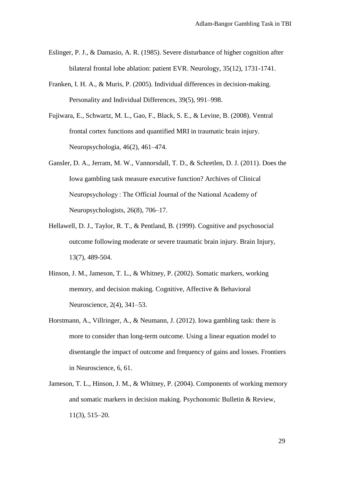- Eslinger, P. J., & Damasio, A. R. (1985). Severe disturbance of higher cognition after bilateral frontal lobe ablation: patient EVR. Neurology, 35(12), 1731-1741.
- Franken, I. H. A., & Muris, P. (2005). Individual differences in decision-making. Personality and Individual Differences, 39(5), 991–998.
- Fujiwara, E., Schwartz, M. L., Gao, F., Black, S. E., & Levine, B. (2008). Ventral frontal cortex functions and quantified MRI in traumatic brain injury. Neuropsychologia, 46(2), 461–474.
- Gansler, D. A., Jerram, M. W., Vannorsdall, T. D., & Schretlen, D. J. (2011). Does the Iowa gambling task measure executive function? Archives of Clinical Neuropsychology : The Official Journal of the National Academy of Neuropsychologists, 26(8), 706–17.
- Hellawell, D. J., Taylor, R. T., & Pentland, B. (1999). Cognitive and psychosocial outcome following moderate or severe traumatic brain injury. Brain Injury, 13(7), 489-504.
- Hinson, J. M., Jameson, T. L., & Whitney, P. (2002). Somatic markers, working memory, and decision making. Cognitive, Affective & Behavioral Neuroscience, 2(4), 341–53.
- Horstmann, A., Villringer, A., & Neumann, J. (2012). Iowa gambling task: there is more to consider than long-term outcome. Using a linear equation model to disentangle the impact of outcome and frequency of gains and losses. Frontiers in Neuroscience, 6, 61.
- Jameson, T. L., Hinson, J. M., & Whitney, P. (2004). Components of working memory and somatic markers in decision making. Psychonomic Bulletin & Review, 11(3), 515–20.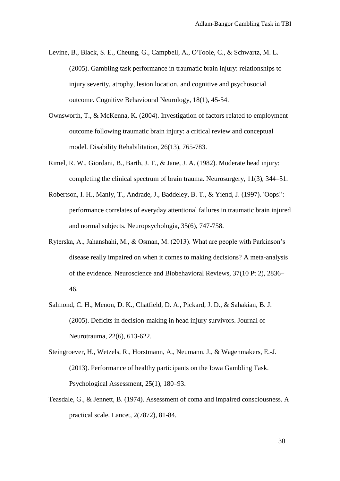- Levine, B., Black, S. E., Cheung, G., Campbell, A., O'Toole, C., & Schwartz, M. L. (2005). Gambling task performance in traumatic brain injury: relationships to injury severity, atrophy, lesion location, and cognitive and psychosocial outcome. Cognitive Behavioural Neurology, 18(1), 45-54.
- Ownsworth, T., & McKenna, K. (2004). Investigation of factors related to employment outcome following traumatic brain injury: a critical review and conceptual model. Disability Rehabilitation, 26(13), 765-783.
- Rimel, R. W., Giordani, B., Barth, J. T., & Jane, J. A. (1982). Moderate head injury: completing the clinical spectrum of brain trauma. Neurosurgery, 11(3), 344–51.
- Robertson, I. H., Manly, T., Andrade, J., Baddeley, B. T., & Yiend, J. (1997). 'Oops!': performance correlates of everyday attentional failures in traumatic brain injured and normal subjects. Neuropsychologia, 35(6), 747-758.
- Ryterska, A., Jahanshahi, M., & Osman, M. (2013). What are people with Parkinson's disease really impaired on when it comes to making decisions? A meta-analysis of the evidence. Neuroscience and Biobehavioral Reviews, 37(10 Pt 2), 2836– 46.
- Salmond, C. H., Menon, D. K., Chatfield, D. A., Pickard, J. D., & Sahakian, B. J. (2005). Deficits in decision-making in head injury survivors. Journal of Neurotrauma, 22(6), 613-622.
- Steingroever, H., Wetzels, R., Horstmann, A., Neumann, J., & Wagenmakers, E.-J. (2013). Performance of healthy participants on the Iowa Gambling Task. Psychological Assessment, 25(1), 180–93.
- Teasdale, G., & Jennett, B. (1974). Assessment of coma and impaired consciousness. A practical scale. Lancet, 2(7872), 81-84.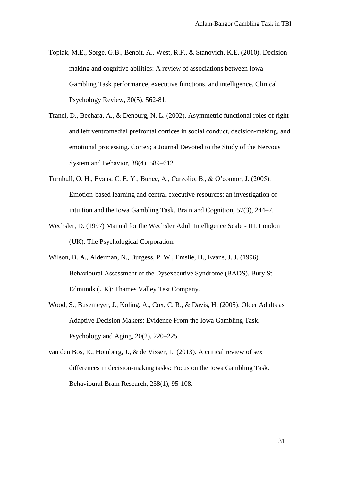- Toplak, M.E., Sorge, G.B., Benoit, A., West, R.F., & Stanovich, K.E. (2010). Decisionmaking and cognitive abilities: A review of associations between Iowa Gambling Task performance, executive functions, and intelligence. Clinical Psychology Review, 30(5), 562-81.
- Tranel, D., Bechara, A., & Denburg, N. L. (2002). Asymmetric functional roles of right and left ventromedial prefrontal cortices in social conduct, decision-making, and emotional processing. Cortex; a Journal Devoted to the Study of the Nervous System and Behavior, 38(4), 589–612.
- Turnbull, O. H., Evans, C. E. Y., Bunce, A., Carzolio, B., & O'connor, J. (2005). Emotion-based learning and central executive resources: an investigation of intuition and the Iowa Gambling Task. Brain and Cognition, 57(3), 244–7.
- Wechsler, D. (1997) Manual for the Wechsler Adult Intelligence Scale III. London (UK): The Psychological Corporation.
- Wilson, B. A., Alderman, N., Burgess, P. W., Emslie, H., Evans, J. J. (1996). Behavioural Assessment of the Dysexecutive Syndrome (BADS). Bury St Edmunds (UK): Thames Valley Test Company.
- Wood, S., Busemeyer, J., Koling, A., Cox, C. R., & Davis, H. (2005). Older Adults as Adaptive Decision Makers: Evidence From the Iowa Gambling Task. Psychology and Aging, 20(2), 220–225.
- van den Bos, R., Homberg, J., & de Visser, L. (2013). A critical review of sex differences in decision-making tasks: Focus on the Iowa Gambling Task. Behavioural Brain Research, 238(1), 95-108.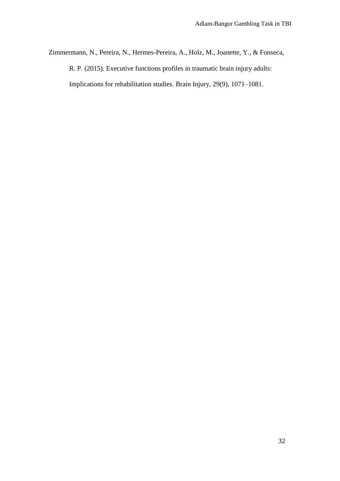Zimmermann, N., Pereira, N., Hermes-Pereira, A., Holz, M., Joanette, Y., & Fonseca,

R. P. (2015). Executive functions profiles in traumatic brain injury adults:

Implications for rehabilitation studies. Brain Injury, 29(9), 1071–1081.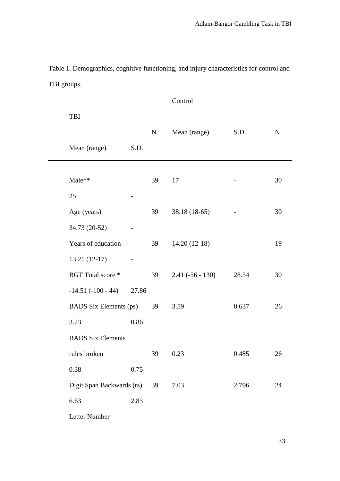|                               |       |           | Control            |                   |             |
|-------------------------------|-------|-----------|--------------------|-------------------|-------------|
| TBI                           |       |           |                    |                   |             |
|                               |       | ${\bf N}$ | Mean (range)       | S.D.              | $\mathbf N$ |
| Mean (range)                  | S.D.  |           |                    |                   |             |
|                               |       |           |                    |                   |             |
| Male**                        |       | 39        | 17                 |                   | 30          |
| 25                            |       |           |                    |                   |             |
| Age (years)                   |       | 39        | 38.18 (18-65)      |                   | 30          |
| 34.73 (20-52)                 |       |           |                    |                   |             |
| Years of education            |       | 39        | $14.20(12-18)$     | $\qquad \qquad -$ | 19          |
| $13.21(12-17)$                |       |           |                    |                   |             |
| BGT Total score *             |       | 39        | $2.41 (-56 - 130)$ | 28.54             | 30          |
| $-14.51(-100-44)$             | 27.86 |           |                    |                   |             |
| <b>BADS</b> Six Elements (ps) |       | 39        | 3.59               | 0.637             | 26          |
| 3.23                          | 0.86  |           |                    |                   |             |
| <b>BADS Six Elements</b>      |       |           |                    |                   |             |
| rules broken                  |       | 39        | 0.23               | 0.485             | 26          |
| 0.38                          | 0.75  |           |                    |                   |             |
| Digit Span Backwards (rs)     |       | 39        | 7.03               | 2.796             | 24          |
| 6.63                          | 2.83  |           |                    |                   |             |
|                               |       |           |                    |                   |             |

Table 1. Demographics, cognitive functioning, and injury characteristics for control and TBI groups.

Letter Number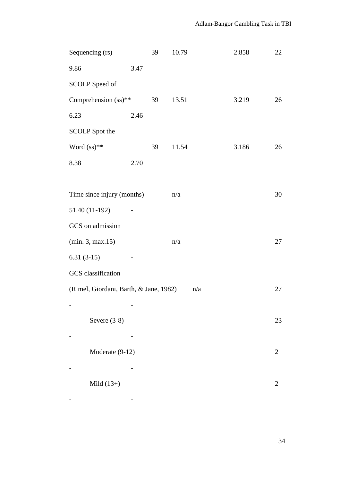| Sequencing (rs)                                     |      | 39 | 10.79 | 2.858 | 22             |  |
|-----------------------------------------------------|------|----|-------|-------|----------------|--|
| 9.86                                                | 3.47 |    |       |       |                |  |
| SCOLP Speed of                                      |      |    |       |       |                |  |
| Comprehension (ss)**                                |      | 39 | 13.51 | 3.219 | 26             |  |
| 6.23                                                | 2.46 |    |       |       |                |  |
| <b>SCOLP</b> Spot the                               |      |    |       |       |                |  |
| Word $(ss)$ **                                      |      | 39 | 11.54 | 3.186 | 26             |  |
| 8.38                                                | 2.70 |    |       |       |                |  |
|                                                     |      |    |       |       |                |  |
| Time since injury (months)                          |      |    | n/a   |       | 30             |  |
| 51.40 (11-192)                                      |      |    |       |       |                |  |
| GCS on admission                                    |      |    |       |       |                |  |
| (min. 3, max.15)                                    |      |    | n/a   |       | 27             |  |
| $6.31(3-15)$                                        |      |    |       |       |                |  |
| GCS classification                                  |      |    |       |       |                |  |
| (Rimel, Giordani, Barth, & Jane, 1982)<br>n/a<br>27 |      |    |       |       |                |  |
|                                                     |      |    |       |       |                |  |
| Severe $(3-8)$                                      |      |    |       |       | 23             |  |
|                                                     |      |    |       |       |                |  |
| Moderate (9-12)<br>2                                |      |    |       |       |                |  |
|                                                     |      |    |       |       |                |  |
| Mild $(13+)$                                        |      |    |       |       | $\overline{2}$ |  |
|                                                     |      |    |       |       |                |  |

- -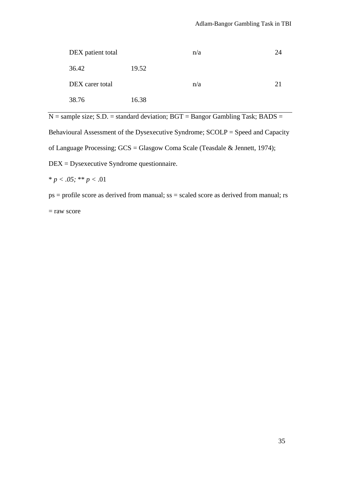| DEX patient total |       | n/a | 24 |
|-------------------|-------|-----|----|
| 36.42             | 19.52 |     |    |
| DEX carer total   |       | n/a | 21 |
| 38.76             | 16.38 |     |    |

 $N =$ sample size; S.D. = standard deviation; BGT = Bangor Gambling Task; BADS =

Behavioural Assessment of the Dysexecutive Syndrome; SCOLP = Speed and Capacity of Language Processing; GCS = Glasgow Coma Scale (Teasdale & Jennett, 1974);

DEX = Dysexecutive Syndrome questionnaire.

\* *p < .05;* \*\* *p <* .01

ps = profile score as derived from manual; ss = scaled score as derived from manual; rs = raw score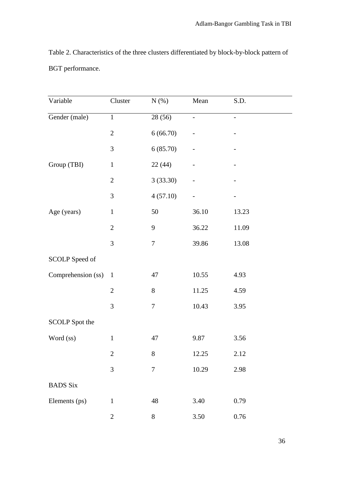Table 2. Characteristics of the three clusters differentiated by block-by-block pattern of BGT performance.

| Variable           | Cluster        | $N(\%)$          | Mean              | S.D.              |  |
|--------------------|----------------|------------------|-------------------|-------------------|--|
| Gender (male)      | $\mathbf{1}$   | 28 (56)          | $\qquad \qquad -$ | $\qquad \qquad -$ |  |
|                    | $\overline{2}$ | 6(66.70)         |                   |                   |  |
|                    | $\mathfrak{Z}$ | 6(85.70)         |                   |                   |  |
| Group (TBI)        | $\mathbf{1}$   | 22(44)           |                   |                   |  |
|                    | $\mathbf{2}$   | 3(33.30)         |                   |                   |  |
|                    | $\mathfrak{Z}$ | 4(57.10)         |                   |                   |  |
| Age (years)        | $\mathbf{1}$   | 50               | 36.10             | 13.23             |  |
|                    | $\mathbf{2}$   | 9                | 36.22             | 11.09             |  |
|                    | 3              | $\boldsymbol{7}$ | 39.86             | 13.08             |  |
| SCOLP Speed of     |                |                  |                   |                   |  |
| Comprehension (ss) | $\mathbf{1}$   | 47               | 10.55             | 4.93              |  |
|                    | $\overline{2}$ | $8\,$            | 11.25             | 4.59              |  |
|                    | $\mathfrak{Z}$ | $\boldsymbol{7}$ | 10.43             | 3.95              |  |
| SCOLP Spot the     |                |                  |                   |                   |  |
| Word (ss)          | $\,1$          | 47               | 9.87              | 3.56              |  |
|                    | 2              | $8\,$            | 12.25             | 2.12              |  |
|                    | 3              | $\overline{7}$   | 10.29             | 2.98              |  |
| <b>BADS</b> Six    |                |                  |                   |                   |  |
| Elements (ps)      | $\mathbf{1}$   | 48               | 3.40              | 0.79              |  |
|                    | $\overline{2}$ | $8\,$            | 3.50              | $0.76\,$          |  |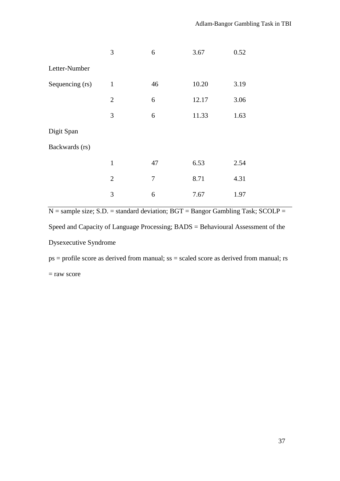|                 | 3              | 6      | 3.67  | 0.52 |  |
|-----------------|----------------|--------|-------|------|--|
| Letter-Number   |                |        |       |      |  |
| Sequencing (rs) | $\mathbf{1}$   | 46     | 10.20 | 3.19 |  |
|                 | $\overline{2}$ | 6      | 12.17 | 3.06 |  |
|                 | 3              | 6      | 11.33 | 1.63 |  |
| Digit Span      |                |        |       |      |  |
| Backwards (rs)  |                |        |       |      |  |
|                 | $\mathbf{1}$   | 47     | 6.53  | 2.54 |  |
|                 | $\overline{2}$ | $\tau$ | 8.71  | 4.31 |  |
|                 | 3              | 6      | 7.67  | 1.97 |  |

 $N =$ sample size; S.D. = standard deviation; BGT = Bangor Gambling Task; SCOLP =

Speed and Capacity of Language Processing; BADS = Behavioural Assessment of the

Dysexecutive Syndrome

ps = profile score as derived from manual; ss = scaled score as derived from manual; rs

= raw score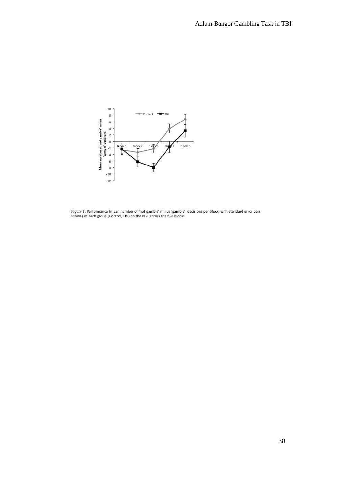

Figure 1. Performance (mean number of 'not gamble' minus 'gamble' decisions per block, with standard error bars<br>shown) of each group (Control, TBI) on the BGT across the five blocks.